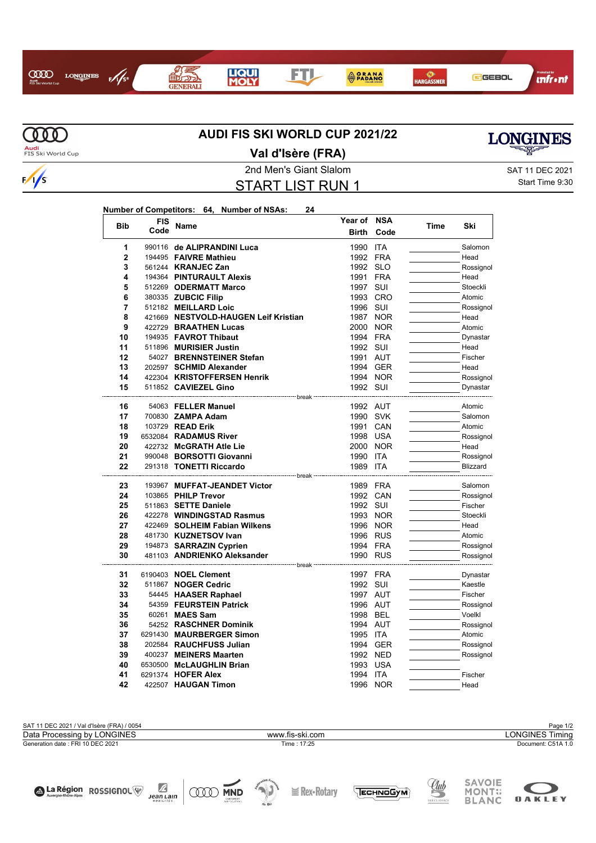## $\infty$ **LONGINES**  $\frac{1}{5}$  $A<sub>ud</sub>$

**FTL** 

**ORANA** 

**O**<br>HARGASSNER



GGEBOL

**MM** Audi<br>FIS Ski World Cup

 $\frac{1}{s}$ 

## **Val d'Isère (FRA)**

2nd Men's Giant Slalom SAT 11 DEC 2021 START LIST RUN 1

Start Time 9:30

**infr**ont

## **Number of Competitors: 64, Number of NSAs: 24**

 $\mathbb{R}^2$ 

**GENERAL** 

**LIQUI**<br>MOLY

| <b>Bib</b>     | <b>FIS</b> | Name                                              | Year of                             | <b>NSA</b> | Time | Ski                 |
|----------------|------------|---------------------------------------------------|-------------------------------------|------------|------|---------------------|
|                | Code       |                                                   | <b>Birth</b>                        | Code       |      |                     |
| 1              |            | 990116 de ALIPRANDINI Luca                        | 1990                                | ITA        |      | Salomon             |
| $\overline{2}$ |            | 194495 FAIVRE Mathieu                             | 1992 FRA                            |            |      | Head                |
| 3              |            | 561244 <b>KRANJEC Zan</b>                         | 1992 SLO                            |            |      | Rossignol           |
| 4              |            | 194364 PINTURAULT Alexis                          | 1991 FRA                            |            |      | Head                |
| 5              |            | 512269 ODERMATT Marco                             | 1997 SUI                            |            |      | Stoeckli            |
| 6              |            | 380335 ZUBCIC Filip                               | 1993 CRO                            |            |      | Atomic              |
| 7              |            | 512182 MEILLARD Loic                              | 1996 SUI                            |            |      | Rossignol           |
| 8              |            | 421669 NESTVOLD-HAUGEN Leif Kristian              | 1987 NOR                            |            |      | Head                |
| 9              |            | 422729 BRAATHEN Lucas                             | 2000 NOR                            |            |      | Atomic              |
| 10             |            | 194935 FAVROT Thibaut                             | 1994 FRA                            |            |      | Dynastar            |
| 11             |            | 511896 MURISIER Justin                            | 1992 SUI                            |            |      | Head                |
| 12             |            | 54027 BRENNSTEINER Stefan                         | 1991 AUT                            |            |      | Fischer             |
| 13             |            | 202597 SCHMID Alexander                           | 1994 GER                            |            |      | Head                |
| 14             |            | 422304 KRISTOFFERSEN Henrik                       |                                     | 1994 NOR   |      | Rossignol           |
| 15             |            | 511852 CAVIEZEL Gino                              | 1992 SUI                            |            |      | Dynastar            |
| 16             |            | -------------------- break<br>54063 FELLER Manuel | 1992 AUT                            |            |      | Atomic              |
| 17             |            | 700830 ZAMPA Adam                                 | 1990 SVK                            |            |      | Salomon             |
| 18             |            | 103729 READ Erik                                  | 1991 CAN                            |            |      | Atomic              |
| 19             |            | 6532084 RADAMUS River                             | 1998 USA                            |            |      | Rossignol           |
| 20             |            | 422732 McGRATH Atle Lie                           | 2000 NOR                            |            |      | Head                |
| 21             |            | 990048 BORSOTTI Giovanni                          | 1990 ITA                            |            |      | Rossignol           |
| 22             |            | 291318 TONETTI Riccardo                           | 1989 ITA                            |            |      | Blizzard            |
|                |            |                                                   | ------------- break --------------- |            |      |                     |
| 23             |            | 193967 MUFFAT-JEANDET Victor                      | 1989 FRA                            |            |      | Salomon             |
| 24             |            | 103865 PHILP Trevor                               | 1992 CAN                            |            |      | Rossignol           |
| 25             |            | 511863 SETTE Daniele                              | 1992 SUI                            |            |      | Fischer             |
| 26             |            | 422278 WINDINGSTAD Rasmus                         | 1993 NOR                            |            |      | Stoeckli            |
| 27             |            | 422469 SOLHEIM Fabian Wilkens                     |                                     | 1996 NOR   |      | Head                |
| 28             |            | 481730 KUZNETSOV Ivan                             | 1996 RUS                            |            |      | Atomic              |
| 29             |            | 194873 SARRAZIN Cyprien                           | 1994 FRA                            |            |      | Rossignol           |
| 30             |            | 481103 ANDRIENKO Aleksander                       | 1990 RUS                            |            |      | Rossignol           |
|                |            | --- break                                         |                                     |            |      |                     |
| 31<br>32       |            | 6190403 NOEL Clement<br>511867 NOGER Cedric       | 1997 FRA<br>1992 SUI                |            |      | Dynastar            |
| 33             |            |                                                   | 1997 AUT                            |            |      | Kaestle<br>Fischer  |
| 34             |            | 54445 HAASER Raphael<br>54359 FEURSTEIN Patrick   | 1996 AUT                            |            |      |                     |
| 35             |            | 60261 MAES Sam                                    | 1998 BEL                            |            |      | Rossignol<br>Voelkl |
| 36             |            | 54252 RASCHNER Dominik                            | 1994 AUT                            |            |      | Rossignol           |
| 37             |            | 6291430 MAURBERGER Simon                          | 1995 ITA                            |            |      | Atomic              |
| 38             |            | 202584 RAUCHFUSS Julian                           |                                     | 1994 GER   |      | Rossignol           |
| 39             |            | 400237 MEINERS Maarten                            | 1992 NED                            |            |      | Rossignol           |
| 40             |            | 6530500 McLAUGHLIN Brian                          | 1993 USA                            |            |      |                     |
| 41             |            | 6291374 HOFER Alex                                | 1994 ITA                            |            |      | Fischer             |
| 42             |            | 422507 HAUGAN Timon                               |                                     | 1996 NOR   |      | Head                |
|                |            |                                                   |                                     |            |      |                     |

SAT 11 DEC 2021 / Val d'Isère (FRA) / 0054 Page 1/2<br>Data Processing by LONGINES **Page 1/2**<br>Data Processing by LONGINES **Page 1/2** Generation date : FRI 10 DEC 2021 Time : 17:25 Document: C51A 1.0 Data Processing by LONGINES www.fis-ski.com





La Région ROSSIGNOL